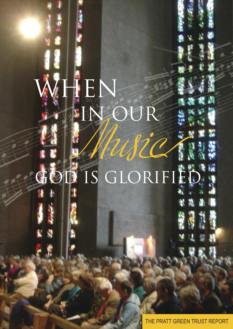# TEN IN, OUR Wie IS GLORIFIEL

11

5500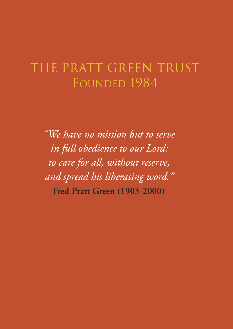# The Pratt Green Trust FOUNDED 1984

*"We have no mission but to serve in full obedience to our Lord: to care for all, without reserve, and spread his liberating word."* **Fred Pratt Green (1903-2000)**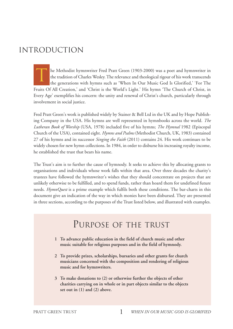# iNTROdUcTiON

he Methodist hymnwriter Fred Pratt Green (1903-2000) was a poet and hymnwriter in the tradition of Charles Wesley.The relevance and theological rigour of his work transcends the generations with hymns such as 'When In Our Music God Is Glorified,' 'For The Fruits Of All Creation,' and 'Christ is the World's Light.' His hymn 'The Church of Christ, in Every Age' exemplifies his concern: the unity and renewal of Christ's church, particularly through involvement in social justice. T

Fred Pratt Green's work is published widely by Stainer & Bell Ltd in the UK and by Hope Publishing Company in the USA. His hymns are well represented in hymnbooks across the world. *The Lutheran Book of Worship* (USA, 1978) included five of his hymns; *The Hymnal* 1982 (Episcopal Church of the USA), contained eight. *Hymns and Psalms* (Methodist Church, UK, 1983) contained 27 of his hymns and its successor *Singing the Faith* (2011) contains 24. His work continues to be widely chosen for new hymn collections. In 1984, in order to disburse his increasing royalty income, he established the trust that bears his name.

The Trust's aim is to further the cause of hymnody. It seeks to achieve this by allocating grants to organisations and individuals whose work falls within that area. Over three decades the charity's trustees have followed the hymnwriter's wishes that they should concentrate on projects that are unlikely otherwise to be fulfilled, and to spend funds, rather than hoard them for undefined future needs. *HymnQuest* is a prime example which fulfils both these conditions. The bar-charts in this document give an indication of the way in which monies have been disbursed. They are presented in three sections, according to the purposes of the Trust listed below, and illustrated with examples.

# PURPOse OF The TRUsT

- **1 To advance public education in the field of church music and other music suitable for religious purposes and in the field of hymnody.**
- **2 To provide prizes, scholarships, bursaries and other grants for church musicians concerned with the composition and rendering of religious music and for hymnwriters.**
- **3 To make donations to (2) or otherwise further the objects of other charities carrying on in whole or in part objects similar to the objects set out in (1) and (2) above.**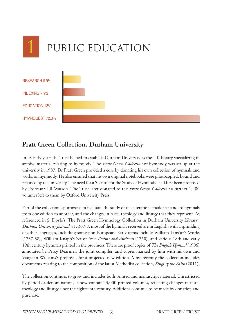

### **Pratt Green Collection, Durham University**

In its early years the Trust helped to establish Durham University as the UK library specializing in archive material relating to hymnody. The *Pratt Green Collection* of hymnody was set up at the university in 1987. Dr Pratt Green provided a core by donating his own collection of hymnals and works on hymnody. He also ensured that his own original notebooks were photocopied, bound and retained by the university.The need for a 'Centre for the Study of Hymnody' had first been proposed by Professor J R Watson. The Trust later donated to the *Pratt Green Collection* a further 1,400 volumes left to them by Oxford University Press.

Part of the collection's purpose is to facilitate the study of the alterations made in standard hymnals from one edition to another, and the changes in taste, theology and liturgy that they represent. As referenced in S. Doyle's 'The Pratt Green Hymnology Collection in Durham University Library,' *Durham University Journal* 81, 307-8, most of the hymnals received are in English, with a sprinkling of other languages, including some non-European. Early items include William Tans'ur's Works (1737-38), William Knapp's Set of *New Psalms and Anthems* (1750), and various 18th and early 19th century hymnals printed in the provinces.There are proof copies of *The English Hymnal* (1906) annotated by Percy Dearmer, the joint compiler, and copies marked by him with his own and Vaughan Williams's proposals for a projected new edition. Most recently the collection includes documents relating to the composition of the latest Methodist collection, *Singing the Faith* (2011).

The collection continues to grow and includes both printed and manuscript material. Unrestricted by period or denomination, it now contains 3,000 printed volumes, reflecting changes in taste, theology and liturgy since the eighteenth century. Additions continue to be made by donation and purchase.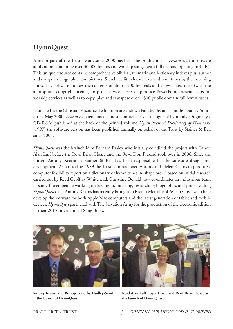#### **HymnQuest**

A major part of the Trust's work since 2000 has been the production of *HymnQuest*, a software application containing over 30,000 hymns and worship songs (with full text and opening melody). This unique resource contains comprehensive biblical, thematic and lectionary indexes plus author and composer biographies and pictures. Search facilities locate texts and trace tunes by their opening notes. The software indexes the contents of almost 500 hymnals and allows subscribers (with the appropriate copyright licence) to print service sheets or produce PowerPoint presentations for worship services as well as to copy, play and transpose over 1,300 public domain full hymn tunes.

Launched at the Christian Resources Exhibition at Sandown Park by BishopTimothy Dudley-Smith on 17 May 2000, *HymnQuest* remains the most comprehensive catalogue of hymnody. Originally a CD-ROM published at the back of the printed volume *HymnQuest*: *A Dictionary of Hymnody*, (1997) the software version has been published annually on behalf of the Trust by Stainer & Bell since 2000.

*HymnQuest* was the brainchild of Bernard Braley who initially co-edited the project with Canon Alan Luff before the Revd Brian Hoare and the Revd Don Pickard took over in 2006. Since the outset, Antony Kearns at Stainer & Bell has been responsible for the software design and development. As far back as 1989 the Trust commissioned Antony and Helen Kearns to produce a computer feasibility report on a dictionary of hymn tunes in 'shape order' based on initial research carried out by Revd Geoffrey Whitehead. Christine Donald now co-ordinates an industrious team of some fifteen people working on keying in, indexing, researching biographies and proof reading *HymnQuest* data. Antony Kearns has recently brought in Kieran Metcalfe of Ascent Creative to help develop the software for both Apple Mac computers and the latest generation of tablet and mobile devices. *HymnQuest* partnered with The Salvation Army for the production of the electronic edition of their 2015 International Song Book.



**Antony Kearns and Bishop Timothy Dudley-Smith at the launch of HymnQuest**



**Revd Alan Luff, Joyce Hoare and Revd Brian Hoare at the launch of HymnQuest**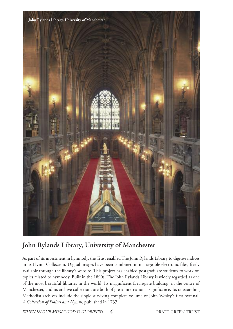

## **John Rylands Library, University of Manchester**

As part of its investment in hymnody, the Trust enabled The John Rylands Library to digitise indices in its Hymn Collection. Digital images have been combined in manageable electronic files, freely available through the library's website. This project has enabled postgraduate students to work on topics related to hymnody. Built in the 1890s, The John Rylands Library is widely regarded as one of the most beautiful libraries in the world. Its magnificent Deansgate building, in the centre of Manchester, and its archive collections are both of great international significance. Its outstanding Methodist archives include the single surviving complete volume of John Wesley's first hymnal, *A Collection of Psalms and Hymns*, published in 1737.

*WHEN IN OUR MUSIC GOD IS GLORIFIED* 4 PRATT GREEN TRUST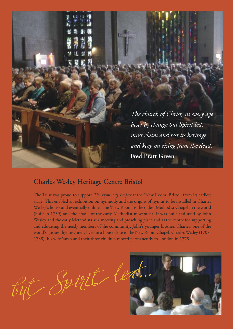

#### **Charles Wesley Heritage Centre Bristol**

The Trust was proud to support *The Hymnody Project* at the 'New Room' Bristol, from its earliest stage. This enabled an exhibition on hymnody and the origins of hymns to be installed in Charles Wesley's house and eventually online. The 'New Room' is the oldest Methodist Chapel in the world (built in 1739) and the cradle of the early Methodist movement. It was built and used by John Wesley and the early Methodists as a meeting and preaching place and as the centre for supporting and educating the needy members of the community. John's younger brother, Charles, one of the world's greatest hymnwriters, lived in a house close to the New Room Chapel. Charles Wesley (1707- 1788), his wife Sarah and their three children moved permanently to London in 1778 .

but Spirit led...

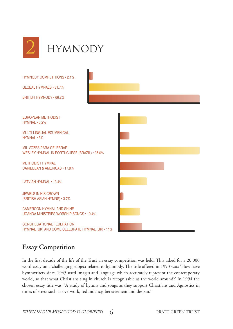

euRopean methodist hymnal • 5.2% multi-lingual ecumenical hymnal • 3% mil Vozes paRa celebRaR Wesley hymnal in poRtuguese (bRazil) • 35.6% methodist hymnal caRibbean & ameRicas • 17.8% LATVIAN HYMNAL • 13.4% JeWels in his cRoWn (bRitish asian hymns) • 3.7% cameRoon hymnal and shine uganda ministRies WoRship songs • 10.4% congRegational FedeRation hymnal (uK) and come celebRate hymnal (uK) • 11% hymnody competitions • 2.1% global hymnals • 31.7% bRitish hymnody • 66.2%

#### **Essay Competition**

In the first decade of the life of the Trust an essay competition was held. This asked for a 20,000 word essay on a challenging subject related to hymnody. The title offered in 1993 was: 'How have hymnwriters since 1945 used images and language which accurately represent the contemporary world, so that what Christians sing in church is recognisable as the world around?' In 1994 the chosen essay title was: 'A study of hymns and songs as they support Christians and Agnostics in times of stress such as overwork, redundancy, bereavement and despair.'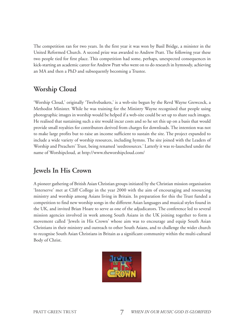The competition ran for two years. In the first year it was won by Basil Bridge, a minister in the United Reformed Church. A second prize was awarded to Andrew Pratt. The following year these two people tied for first place. This competition had some, perhaps, unexpected consequences in kick-starting an academic career for Andrew Pratt who went on to do research in hymnody, achieving an MA and then a PhD and subsequently becoming a Trustee.

### **Worship Cloud**

'Worship Cloud,' originally 'Twelvebaskets,' is a web-site begun by the Revd Wayne Grewcock, a Methodist Minister. While he was training for the Ministry Wayne recognised that people using photographic images in worship would be helped if a web-site could be set up to share such images. He realised that sustaining such a site would incur costs and so he set this up on a basis that would provide small royalties for contributors derived from charges for downloads. The intention was not to make large profits but to raise an income sufficient to sustain the site. The project expanded to include a wide variety of worship resources, including hymns. The site joined with the Leaders of Worship and Preachers' Trust, being renamed 'seedresources.' Latterly it was re-launched under the name of Worshipcloud, at http://www.theworshipcloud.com/

### **Jewels In His Crown**

A pioneer gathering of British Asian Christian groups initiated by the Christian mission organisation 'Interserve' met at Cliff College in the year 2000 with the aim of encouraging and resourcing ministry and worship among Asians living in Britain. In preparation for this the Trust funded a competition to find new worship songs in the different Asian languages and musical styles found in the UK, and invited Brian Hoare to serve as one of the adjudicators. The conference led to several mission agencies involved in work among South Asians in the UK joining together to form a movement called 'Jewels in His Crown' whose aim was to encourage and equip South Asian Christians in their ministry and outreach to other South Asians, and to challenge the wider church to recognise South Asian Christians in Britain as a significant community within the multi-cultural Body of Christ.

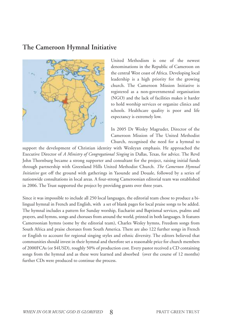#### **The Cameroon Hymnal Initiative**



United Methodism is one of the newest denominations in the Republic of Cameroon on the central West coast of Africa. Developing local leadership is a high priority for the growing church. The Cameroon Mission Initiative is registered as a non-governmental organisation (NGO) and the lack of facilities makes it harder to hold worship services or organize clinics and schools. Healthcare quality is poor and life expectancy is extremely low.

In 2005 Dr Wesley Magruder, Director of the Cameroon Mission of The United Methodist Church, recognised the need for a hymnal to

support the development of Christian identity with Wesleyan emphasis. He approached the Executive Director of *A Ministry of Congregational Singing* in Dallas, Texas, for advice. The Revd John Thornburg became a strong supporter and consultant for the project, raising initial funds through partnership with Greenland Hills United Methodist Church. *The Cameroon Hymnal Initiative* got off the ground with gatherings in Yaounde and Douale, followed by a series of nationwide consultations in local areas. A four-strong Cameroonian editorial team was established in 2006. The Trust supported the project by providing grants over three years.

Since it was impossible to include all 250 local languages, the editorial team chose to produce a bilingual hymnal in French and English, with a set of blank pages for local praise songs to be added. The hymnal includes a pattern for Sunday worship, Eucharist and Baptismal services, psalms and prayers, and hymns, songs and choruses from around the world, printed in both languages. It features Cameroonian hymns (some by the editorial team), Charles Wesley hymns, Freedom songs from South Africa and praise choruses from South America. There are also 122 further songs in French or English to account for regional singing styles and ethnic diversity. The editors believed that communities should invest in their hymnal and therefore set a reasonable price for church members of 2000FCAs (or \$4USD), roughly 50% of production cost. Every pastor received a CD containing songs from the hymnal and as these were learned and absorbed (over the course of 12 months) further CDs were produced to continue the process.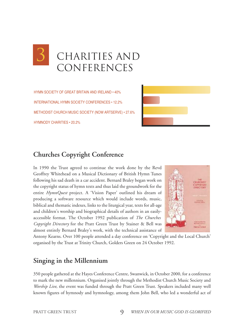

hymn society oF gReat bRitain and iReland • 40% inteRnational hymn society conFeRences • 12.2% methodist chuRch music society (noW aRtseRVe) • 27.6% hymnody chaRities • 20.2%



#### **Churches Copyright Conference**

In 1990 the Trust agreed to continue the work done by the Revd Geoffrey Whitehead on a Musical Dictionary of British Hymn Tunes following his sad death in a car accident. Bernard Braley began work on the copyright status of hymn texts and thus laid the groundwork for the entire *HymnQuest* project. A 'Vision Paper' outlined his dream of producing a software resource which would include words, music, biblical and thematic indexes, links to the liturgical year, texts for all-age and children's worship and biographical details of authors in an easilyaccessible format. The October 1992 publication of *The Churches' Copyright Directory* for the Pratt Green Trust by Stainer & Bell was almost entirely Bernard Braley's work, with the technical assistance of



Antony Kearns. Over 100 people attended a day conference on 'Copyright and the Local Church' organised by the Trust at Trinity Church, Golders Green on 24 October 1992.

#### **Singing in the Millennium**

350 people gathered at the Hayes Conference Centre, Swanwick, in October 2000, for a conference to mark the new millennium. Organised jointly through the Methodist Church Music Society and *Worship Live*, the event was funded through the Pratt Green Trust. Speakers included many well known figures of hymnody and hymnology, among them John Bell, who led a wonderful act of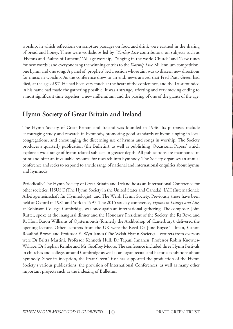worship, in which reflections on scripture passages on food and drink were earthed in the sharing of bread and honey. There were workshops led by *Worship Live* contributors, on subjects such as 'Hymns and Psalms of Lament,' 'All age worship,' 'Singing in the world Church' and 'New tunes for new words'; and everyone sang the winning entries to the *Worship Live* Millennium competition, one hymn and one song. A panel of 'prophets' led a session whose aim was to discern new directions for music in worship. As the conference drew to an end, news arrived that Fred Pratt Green had died, at the age of 97. He had been very much at the heart of the conference, and the Trust founded in his name had made the gathering possible. It was a strange, affecting and very moving ending to a most significant time together: a new millennium, and the passing of one of the giants of the age.

#### **Hymn Society of Great Britain and Ireland**

The Hymn Society of Great Britain and Ireland was founded in 1936. Its purposes include encouraging study and research in hymnody, promoting good standards of hymn singing in local congregations, and encouraging the discerning use of hymns and songs in worship. The Society produces a quarterly publication (the Bulletin), as well as publishing 'Occasional Papers' which explore a wide range of hymn-related subjects in greater depth. All publications are maintained in print and offer an invaluable resource for research into hymnody. The Society organises an annual conference and seeks to respond to a wide range of national and international enquiries about hymns and hymnody.

Periodically The Hymn Society of Great Britain and Ireland hosts an International Conference for other societies: HSUSC (The Hymn Society in the United States and Canada), IAH (Internationale Arbeitsgemeinschaft für Hymnologie), and The Welsh Hymn Society. Previously these have been held at Oxford in 1981 and York in 1997. The 2015 six-day conference, *Hymns in Liturgy and Life*, at Robinson College, Cambridge, was once again an international gathering. The composer, John Rutter, spoke at the inaugural dinner and the Honorary President of the Society, the Rt Revd and Rt Hon. Baron Williams of Oystermouth (formerly the Archbishop of Canterbury), delivered the opening lecture. Other lecturers from the UK were the Revd Dr June Boyce-Tillman, Canon Rosalind Brown and Professor E. Wyn James (The Welsh Hymn Society). Lecturers from overseas were Dr Britta Martini, Professor Kenneth Hull, Dr Tapani Innanen, Professor Robin Knowles-Wallace, Dr Stephan Reinke and Mr Geoffrey Moore.The conference included three Hymn Festivals in churches and colleges around Cambridge as well as an organ recital and historic exhibitions about hymnody. Since its inception, the Pratt Green Trust has supported the production of the Hymn Society's various publications, the provision of International Conferences, as well as many other important projects such as the indexing of Bulletins.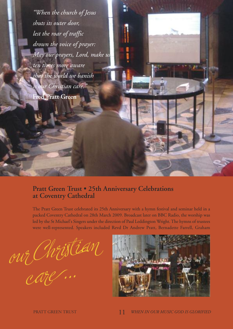*"When the church of Jesus shuts its outer door, lest the roar of traffic drown the voice of prayer: May our prayers, Lord, make us ten times more aware that the world we banish is our Christian care."* **Fred Pratt Green**

#### **Pratt Green Trust • 25th Anniversary Celebrations at Coventry Cathedral**

The Pratt Green Trust celebrated its 25th Anniversary with a hymn festival and seminar held in a packed Coventry Cathedral on 28th March 2009. Broadcast later on BBC Radio, the worship was led by the St Michael's Singers under the direction of Paul Leddington Wright. The hymns of trustees were well-represented. Speakers included Revd Dr Andrew Pratt, Bernadette Farrell, Graham

our Christian

care...

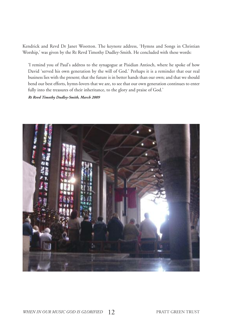Kendrick and Revd Dr Janet Wootton. The keynote address, 'Hymns and Songs in Christian Worship,' was given by the Rt Revd Timothy Dudley-Smith. He concluded with these words:

'I remind you of Paul's address to the synagogue at Pisidian Antioch, where he spoke of how David 'served his own generation by the will of God.' Perhaps it is a reminder that our real business lies with the present; that the future is in better hands than our own; and that we should bend our best efforts, hymn-lovers that we are, to see that our own generation continues to enter fully into the treasures of their inheritance, to the glory and praise of God.'

*Rt Revd Timothy Dudley-Smith, March 2009*

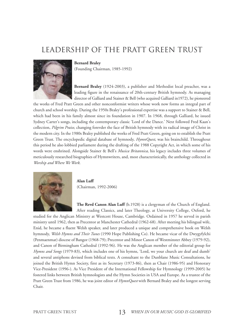# Leadership of the Pratt Green Trust

#### **Bernard Braley**

(Founding Chairman, 1985-1992)

**Bernard Braley** (1924-2003), a publisher and Methodist local preacher, was a leading figure in the renaissance of 20th-century British hymnody. As managing director of Galliard and Stainer & Bell (who acquired Galliard in1972), he pioneered

the works of Fred Pratt Green and other nonconformist writers whose work now forms an integral part of church and school worship. During the 1950s Braley's professional expertise was a support to Stainer & Bell, which had been in his family almost since its foundation in 1907. In 1968, through Galliard, he issued Sydney Carter's songs, including the contemporary classic 'Lord of the Dance.' Next followed Fred Kaan's collection, *Pilgrim Praise*, changing forevder the face of British hymnody with its radical image of Christ in the modern city. In the 1980s Braley published the works of Fred Pratt Green, going on to establish the Pratt Green Trust. The encyclopedic digital database of hymnody, *HymnQuest*, was his brainchild. Throughout this period he also lobbied parliament during the drafting of the 1988 Copyright Act, in which some of his words were enshrined. Alongside Stainer & Bell's *Musica Britannica*, his legacy includes three volumes of meticulously researched biographies of Hymnwriters, and, most characteristically, the anthology collected in *Worship and Where We Work*.



**Alan Luff** (Chairman, 1992-2006)

**The Revd Canon Alan Luff** (b.1928) is a clergyman of the Church of England. After reading Classics, and later Theology, at University College, Oxford, he

studied for the Anglican Ministry at Westcott House, Cambridge. Ordained in 1957 he served in parish ministry until 1962, then as Precentor at Manchester Cathedral (1962-68). After meeting his bilingual wife, Enid, he became a fluent Welsh speaker, and later produced a unique and comprehensive book on Welsh hymnody, *Welsh Hymns and Their Tunes* (1990 Hope Publishing Co). He became vicar of the Dwygyfylchi (Penmaenmar) diocese of Bangor (1968-79); Precentor and Minor Canon of Westminster Abbey (1979-92), and Canon of Birmingham Cathedral (1992-96). He was the Anglican member of the editorial group for *Hymns and Songs* (1979-83), which includes one of his hymns, 'Lord, we your church are deaf and dumb' and several antiphons devised from biblical texts. A consultant to the Dunblane Music Consultations, he joined the British Hymn Society, first as its Secretary (1973-86), then as Chair (1986-95) and Honorary Vice-President (1996-). As Vice President of the International Fellowship for Hymnology (1999-2005) he fostered links between British hymnologists and the Hymn Societies in USA and Europe. As a trustee of the Pratt Green Trust from 1986, he was joint editor of *HymnQuest* with Bernard Braley and the longest serving Chair.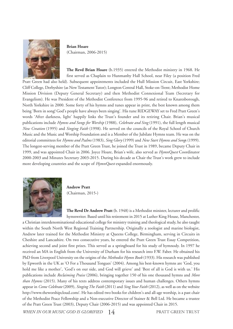

#### **Brian Hoare** (Chairman, 2006-2015)

**The Revd Brian Hoare** (b.1935) entered the Methodist ministry in 1968. He first served as Chaplain to Hunmanby Hall School, near Filey (a position Fred Pratt Green had also held). Subsequent appointments included the Hull Mission Circuit, East Yorkshire; Cliff College, Derbyshire (as NewTestamentTutor); Longton Central Hall, Stoke-on-Trent; Methodist Home Mission Division (Deputy General Secretary) and then Methodist Connexional Team (Secretary for Evangelism). He was President of the Methodist Conference from 1995-96 and retired to Knaresborough, North Yorkshire in 2000. Some forty of his hymns and tunes appear in print, the best known among them being 'Born in song! God's people have always been singing'. His tune RIDGEWAY set to Fred Pratt Green's words 'After darkness, light' happily links the Trust's founder and its retiring Chair. Brian's musical publications include *Hymns and Songs for Worship* (1988), *Celebrate and Sing* (1991), the full length musical *New Creation* (1995) and *Singing Faith* (1998). He served on the councils of the Royal School of Church Music and the Music and Worship Foundation and is a Member of the Jubilate Hymns team. He was on the editorial committees for *Hymns and Psalms* (1983), *Sing Glory* (1999) and *New Start Hymns and Song*s (1999). The longest-serving member of the Pratt Green Trust, he joined the Trust in 1989, became Deputy Chair in 1999, and was appointed Chair in 2006. Joyce Hoare, Brian's wife, also served as *HymnQuest* Coordinator 2000-2003 and Minutes Secretary 2003-2015. During his decade as Chair the Trust's work grew to include more developing countries and the scope of *HymnQuest* expanded enormously.



**Andrew Pratt** (Chairman, 2015-)

**The Revd Dr Andrew Pratt** (b. 1948) is a Methodist minister, lecturer and prolific hymnwriter. Based until his retirement in 2015 at Luther King House, Manchester,

a Christian interdenominational educational college for ministry training and theological study, he also taught within the South North West Regional Training Partnership. Originally a zoologist and marine biologist, Andrew later trained for the Methodist Ministry at Queens College, Birmingham, serving in Circuits in Cheshire and Lancashire. On two consecutive years, he entered the Pratt Green Trust Essay Competition, achieving second and joint first prizes. This served as a springboard for his study of hymnody. In 1997 he received an MA in English from the University of Durham for his research into F.W. Faber. He obtained his PhD from Liverpool University on the origins of the *Methodist Hymn Book* (1933). His research was published by Epworth in the UK as 'O For a Thousand Tongues' (2004). Among his best-known hymns are 'God, you hold me like a mother', 'God's on our side, and God will grieve' and 'Best of all is God is with us.' His publications include *Reclaiming Praise* (2006), bringing together 150 of his one thousand hymns and *More than Hymns* (2015). Many of his texts address contemporary issues and human challenges. Others hymns appear in *Come Celebrate* (2009), *SingingThe Faith* (2011) and *Sing Your Faith* (2012), as well as on the website http://www.theworshipcloud.com/. He has edited two books for children's and all-age worship, is a past chair of the Methodist Peace Fellowship and a Non-executive Director of Stainer & Bell Ltd. He became a trustee of the Pratt Green Trust (2003), Deputy Chair (2006-2015) and was appointed Chair in 2015.

*WHEN IN OUR MUSIC GOD IS GLORIFIED* 14 PRATT GREEN TRUST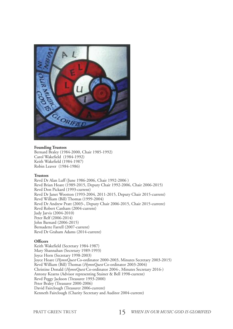

#### **Founding Trustees**

Bernard Braley (1984-2000, Chair 1985-1992) Carol Wakefield (1984-1992) Keith Wakefield (1984-1987) Robin Leaver (1984-1986)

#### **Trustees**

Revd Dr Alan Luff (June 1986-2006, Chair 1992-2006 ) Revd Brian Hoare (1989-2015, Deputy Chair 1992-2006, Chair 2006-2015) Revd Don Pickard (1993-current) Revd Dr Janet Wootton (1993-2004, 2011-2015, Deputy Chair 2015-current) Revd William (Bill) Thomas (1999-2004) Revd Dr Andrew Pratt (2003-, Deputy Chair 2006-2015, Chair 2015-current) Revd Robert Canham (2004-current) Judy Jarvis (2004-2010) Peter Relf (2006-2014) John Barnard (2006-2015) Bernadette Farrell (2007-current) Revd Dr Graham Adams (2014-current)

#### **Officers**

Keith Wakefield (Secretary 1984-1987) Mary Shannahan (Secretary 1989-1993) Joyce Horn (Secretary 1998-2003) Joyce Hoare (*HymnQuest* Co-ordinator 2000-2003, Minutes Secretary 2003-2015) Revd William (Bill) Thomas (*HymnQuest* Co-ordinator 2003-2004) Christine Donald (*HymnQuest* Co-ordinator 2004-, Minutes Secretary 2016-) Antony Kearns (Advisor representing Stainer & Bell 1998-current) Revd Peggy Jackson (Treasurer 1993-2000) Peter Braley (Treasurer 2000-2006) David Fairclough (Treasurer 2006-current) Kenneth Fairclough (Charity Secretary and Auditor 2004-current)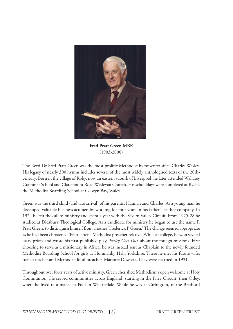

**Fred Pratt Green MBE** (1903-2000)

The Revd Dr Fred Pratt Green was the most prolific Methodist hymnwriter since Charles Wesley. His legacy of nearly 300 hymns includes several of the most widely anthologised texts of the 20thcentury. Born in the village of Roby, now an eastern suburb of Liverpool, he later attended Wallasey Grammar School and Claremount Road Wesleyan Church. His schooldays were completed at Rydal, the Methodist Boarding School at Colwyn Bay, Wales.

Green was the third child (and late arrival) of his parents, Hannah and Charles. As a young man he developed valuable business acumen by working for four years in his father's leather company. In 1924 he felt the call to ministry and spent a year with the Severn Valley Circuit. From 1925-28 he studied at Didsbury Theological College. As a candidate for ministry he began to use the name F. Pratt Green, to distinguish himself from another 'Frederick P Green.'The change seemed appropriate as he had been christened 'Pratt' after a Methodist preacher relative. While at college, he won several essay prizes and wrote his first published play, *Farley Goes Out*, about the foreign missions. First choosing to serve as a missionary in Africa, he was instead sent as Chaplain to the newly founded Methodist Boarding School for girls at Hunmanby Hall, Yorkshire. There he met his future wife, french teacher and Methodist local preacher, Marjorie Dowsett. They were married in 1931.

Throughout over forty years of active ministry, Green cherished Methodism's open welcome at Holy Communion. He served communities across England, starting in the Filey Circuit, then Otley, where he lived in a manse at Pool-in-Wharfedale. While he was at Girlington, in the Bradford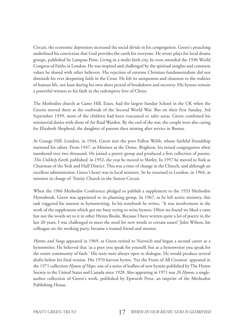Circuit, the economic depression increased the social divide in his congregation. Green's preaching underlined his conviction that God provides the earth for everyone. He wrote plays for local drama groups, published by Lampass Press. Living in a multi-faith city, he even attended the 1936 World Congress of Faiths in London. He was inspired and challenged by the spiritual insights and common values he shared with other believers. His rejection of extreme Christian fundamentalism did not diminish his ever deepening faith in the Cross. He felt its uniqueness and closeness to the realities of human life, not least during his own short period of breakdown and recovery. His hymns remain a powerful witness to his faith in the redemptive love of Christ.

The Methodist church at Gants Hill, Essex, had the largest Sunday School in the UK when the Greens moved there at the outbreak of the Second World War. But on their first Sunday, 3rd September 1939, most of the children had been evacuated to safer areas. Green combined his ministerial duties with those of Air Raid Warden. By the end of the war, the couple were also caring for Elizabeth Shepherd, the daughter of parents then missing after service in Burma.

At Grange Hill, London, in 1944, Green met the poet Fallon Webb, whose faithful friendship nurtured his talent. From 1947, as Minister at the Dome, Brighton, his mixed congregation often numbered over two thousand. He joined a poetry group and produced a first collection of poems, *This Unlikely Earth*, published in 1952, the year he moved to Shirley. In 1957 he moved to York as Chairman of the York and Hull District. This was a time of change in the Church, and although an excellent administrator, Green's heart was in local ministry. So he returned to London, in 1964, as minister in charge of Trinity Church in the Sutton Circuit.

When the 1966 Methodist Conference pledged to publish a supplement to the 1933 Methodist Hymnbook, Green was appointed to its planning group. In 1967, as he left active ministry, this task triggered his interest in hymnwriting. In his notebook he writes, *'* It was involvement in the work of the supplement which got me busy trying to write hymns. Often we found we liked a tune but not the words set to it in other Hymn Books. Because I have written quite a lot of poetry in the last 20 years, I was challenged to meet the need for new words to certain tunes!*'* John Wilson, his colleague on the working party, became a trusted friend and mentor.

*Hymns and Songs* appeared in 1969, as Green retired to Norwich and began a second career as a hymnwriter. He believed that 'as a poet you speak for yourself, but as a hymnwriter you speak for the entire community of faith.' His texts were always open to dialogue. He would produce several drafts before his final version. His 1970 harvest hymn, 'For the Fruits of All Creation' appeared in the 1971 collection *Hymns of Hope*, one of a series of leaflets of new hymns published by The Hymn Society in the United States and Canada since 1928. Also appearing in 1971 was *26 Hymns*, a singleauthor collection of Green's work, published by Epworth Press, an imprint of the Methodist Publishing House.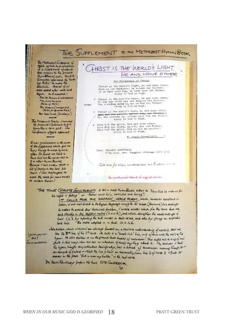

The Methodost Conference of<br>1966 agreed to pushcander<br>4 a Supplement of about<br>100 Homes to The present<br>11 millboom(1953), The G.R. Committee apparated the host-<br>big Boby to make the<br>Blechin, Scoral of a Were added after work had egur. M.P. maluded !! REC. AK FRANCIS WESTERNOK Ma, Jouwhasson (Elm of Hes) Rev. Guarant Ways and Rev. Ang James (Secretary)

The WORKING PARTY inserted<br>its projected objectment to GP. Gambern April 1968, The Confirmie office affected.

It was much consist in 12 north<br>4 the Supplement which got me<br>been to your to nove hymnes,<br>Then he had he words sat to to able thym Books Because I have written quite a lat of poetry in the last 20 Years. I was challenged to meet the need for new words to certain tunes!

The Uniqueness of Christ Dhrist is the world's light, he and mose ether:<br>Born is our darkness, he became our Sruther.<br>If se have seen him, we have seen the Father:<br>Glory to God on high. 2 Christ is the social a Peace, he und some other;<br> $\beta_{\text{eff}}$  can can serve him and despice him brother;<br>what where the same samples in God the Father?<br> $\beta_{\text{DM}}$  clearing to God on high.

HRIST IS THE WORLD'S LIGHT

 $\begin{array}{r|l} \texttt{5.} & \texttt{Data 1:} & \texttt{the word 1:} & \texttt{Life}, & \texttt{he and none other} \\ \texttt{5.} & \texttt{5.} & \texttt{6.} & \texttt{6.} & \texttt{6.} \\ \texttt{6.} & \texttt{6.} & \texttt{6.} & \texttt{6.} \\ \texttt{7.} & \texttt{7.} & \texttt{8.} & \texttt{7.} \\ \texttt{8.} & \texttt{9.} & \texttt{7.} & \texttt{8.} \\ \texttt{9.} & \texttt{10.} & \texttt{11.} \\ \texttt$ 

4 Give Get the glory, God and nome other:<br> $Q_{\text{dvo}}$  God the glory, Spirit, See and Father:<br> $Q_{\text{dvo}}$  God the glory, God in man by brother:<br> $Q_{\text{dov}}$  Cod on high.

F. Pratt Green(1903-

HE AND NONE OTHER

Tune: CELLSTS SANCTORIES 17th cent, arr. Vaughan nilliams (BCI 305)

Sold once for silver, mundered here out Bushar -

The university of the state in a state of the state of

THE TUNE CHRISTE GANCTORUM is at in most Hymn Books ether to Now God be with us for the night is falling " or "Father mest help, mercuful and loving".

IT CALLS FOR THE SAPPHIC VERSE FORM, Which, however excellent in Laken, is not well-aired to the English language swing to its wear (faminum) line sudings In order to avoid the technical problem, I wrote words which the time but are bat strictly in the supplied metre (11.11.11.5), and which stringthen the weak endings of line's 1, 2, 3, by inpealing the end morals in Each verse, and also by groung an emphatic

gout way on this! Jec immediation detailed son, whose contains are always founded on a sensitive anderstanding of worship, does not not how. He also distance to an the germed that smarks of masachion! One angel not to sing of one guit in this way, when we has no interation of davis any sing about t. My answer is that the hyper , that we restore the head of the month of the month of the day of the same of the same of the same of the same of the same anner in the place " Bod in man my brother" in the last verse

Da ERIK ROUTLEY ANGLE HE that ISTE CONFESSOR.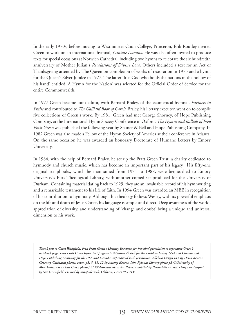In the early 1970s, before moving to Westminster Choir College, Princeton, Erik Routley invited Green to work on an international hymnal, *Cantate Domino*. He was also often invited to produce texts for special occasions at Norwich Cathedral, including two hymns to celebrate the six hundredth anniversary of Mother Julian's *Revelations of Divine Love*. Others included a text for an Act of Thanksgiving attended by The Queen on completion of works of restoration in 1975 and a hymn for the Queen's Silver Jubilee in 1977. The latter 'It is God who holds the nations in the hollow of his hand' entitled 'A Hymn for the Nation' was selected for the Official Order of Service for the entire Commonwealth.

In 1977 Green became joint editor, with Bernard Braley, of the ecumenical hymnal, *Partners in Praise* and contributed to*The Galliard Book of Carols*. Braley, his literary executor, went on to compile five collections of Green's work. By 1981, Green had met George Shorney, of Hope Publishing Company, at the International Hymn Society Conference in Oxford. *The Hymns and Ballads of Fred Pratt Green* was published the following year by Stainer & Bell and Hope Publishing Company. In 1982 Green was also made a Fellow of the Hymn Society of America at their conference in Atlanta. On the same occasion he was awarded an honorary Doctorate of Humane Letters by Emory University.

In 1984, with the help of Bernard Braley, he set up the Pratt Green Trust, a charity dedicated to hymnody and church music, which has become an important part of his legacy. His fifty-one original scrapbooks, which he maintained from 1971 to 1988, were bequeathed to Emory University's Pitts Theological Library, with another copied set produced for the University of Durham. Containing material dating back to 1929, they are an invaluable record of his hymnwriting and a remarkable testament to his life of faith. In 1994 Green was awarded an MBE in recognition of his contribution to hymnody. Although his theology follows Wesley, with its powerful emphasis on the life and death of Jesus Christ, his language is simple and direct. Deep awareness of the world, appreciation of diversity, and understanding of 'change and doubt' bring a unique and universal dimension to his work.

Thank you to Carol Wakefield, Fred Pratt Green's Literary Executor, for her kind permission to reproduce Green's notebook page. Fred Pratt Green hymn text fragments ©Stainer & Bell for the world excluding USA and Canada and Hope Publishing Company for the USA and Canada. Reproduced with permission. Alleluia Design p15 by Helen Kearns. Coventry Cathedral photos: cover, p3, 5, 11, 12 by Antony Kearns. John Rylands Library photo p3 © University of Manchester. Fred Pratt Green photo p21 ©Methodist Recorder. Report compiled by Bernadette Farrell. Design and layout *by Sue Dransfield. Printed by Rapspiderweb, Oldham, Lancs 0L9 7LY.*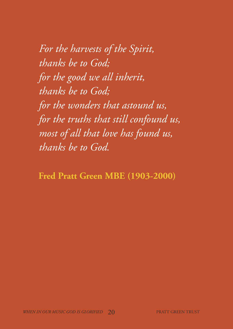*For the harvests of the Spirit, thanks be to God; for the good we all inherit, thanks be to God; for the wonders that astound us, for the truths that still confound us, most of all that love has found us, thanks be to God.*

**Fred Pratt Green MBE (1903-2000)**